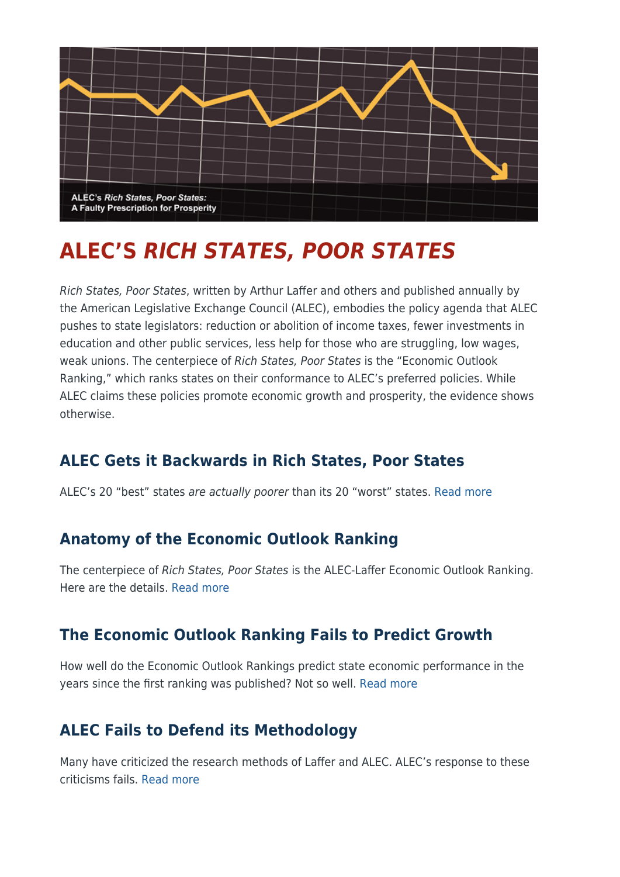

# **ALEC'S** *RICH STATES, POOR STATES*

Rich States, Poor States, written by Arthur Laffer and others and published annually by the American Legislative Exchange Council (ALEC), embodies the policy agenda that ALEC pushes to state legislators: reduction or abolition of income taxes, fewer investments in education and other public services, less help for those who are struggling, low wages, weak unions. The centerpiece of Rich States, Poor States is the "Economic Outlook Ranking," which ranks states on their conformance to ALEC's preferred policies. While ALEC claims these policies promote economic growth and prosperity, the evidence shows otherwise.

## **ALEC Gets it Backwards in Rich States, Poor States**

ALEC's 20 "best" states are actually poorer than its 20 "worst" states. [Read more](http://www.gradingstates.org/alecs-rich-states-poor-states/alec-gets-it-backwards-in-rich-states-poor-states/)

#### **Anatomy of the Economic Outlook Ranking**

The centerpiece of Rich States, Poor States is the ALEC-Laffer Economic Outlook Ranking. Here are the details. [Read more](http://www.gradingstates.org/alecs-rich-states-poor-states/anatomy-of-the-economic-outlook-ranking/)

### **The Economic Outlook Ranking Fails to Predict Growth**

How well do the Economic Outlook Rankings predict state economic performance in the years since the first ranking was published? Not so well. [Read more](http://www.gradingstates.org/alecs-rich-states-poor-states/the-economic-outlook-ranking-fails-to-predict-growth/)

## **ALEC Fails to Defend its Methodology**

Many have criticized the research methods of Laffer and ALEC. ALEC's response to these criticisms fails. [Read more](http://www.gradingstates.org/alecs-rich-states-poor-states/alec-fails-to-defend-its-methodology/)